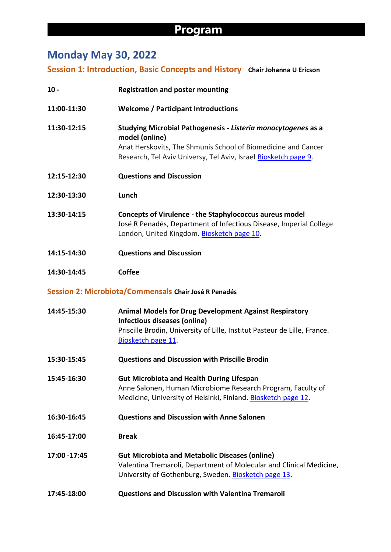## **Program**

# **Monday May 30, 2022**

**Session 1: Introduction, Basic Concepts and History Chair Johanna U Ericson**

| $10 -$        | <b>Registration and poster mounting</b>                                                                                                                                                                             |
|---------------|---------------------------------------------------------------------------------------------------------------------------------------------------------------------------------------------------------------------|
| 11:00-11:30   | <b>Welcome / Participant Introductions</b>                                                                                                                                                                          |
| 11:30-12:15   | Studying Microbial Pathogenesis - Listeria monocytogenes as a<br>model (online)<br>Anat Herskovits, The Shmunis School of Biomedicine and Cancer<br>Research, Tel Aviv Universy, Tel Aviv, Israel Biosketch page 9. |
| 12:15-12:30   | <b>Questions and Discussion</b>                                                                                                                                                                                     |
| 12:30-13:30   | Lunch                                                                                                                                                                                                               |
| 13:30-14:15   | <b>Concepts of Virulence - the Staphylococcus aureus model</b><br>José R Penadés, Department of Infectious Disease, Imperial College<br>London, United Kingdom. Biosketch page 10.                                  |
| 14:15-14:30   | <b>Questions and Discussion</b>                                                                                                                                                                                     |
| 14:30-14:45   | <b>Coffee</b>                                                                                                                                                                                                       |
|               | Session 2: Microbiota/Commensals Chair José R Penadés                                                                                                                                                               |
| 14:45-15:30   | <b>Animal Models for Drug Development Against Respiratory</b><br>Infectious diseases (online)<br>Priscille Brodin, University of Lille, Institut Pasteur de Lille, France.<br>Biosketch page 11.                    |
| 15:30-15:45   | <b>Questions and Discussion with Priscille Brodin</b>                                                                                                                                                               |
| 15:45-16:30   | <b>Gut Microbiota and Health During Lifespan</b><br>Anne Salonen, Human Microbiome Research Program, Faculty of<br>Medicine, University of Helsinki, Finland. Biosketch page 12.                                    |
| 16:30-16:45   | <b>Questions and Discussion with Anne Salonen</b>                                                                                                                                                                   |
| 16:45-17:00   | <b>Break</b>                                                                                                                                                                                                        |
| 17:00 - 17:45 | <b>Gut Microbiota and Metabolic Diseases (online)</b><br>Valentina Tremaroli, Department of Molecular and Clinical Medicine,<br>University of Gothenburg, Sweden. Biosketch page 13.                                |
| 17:45-18:00   | <b>Questions and Discussion with Valentina Tremaroli</b>                                                                                                                                                            |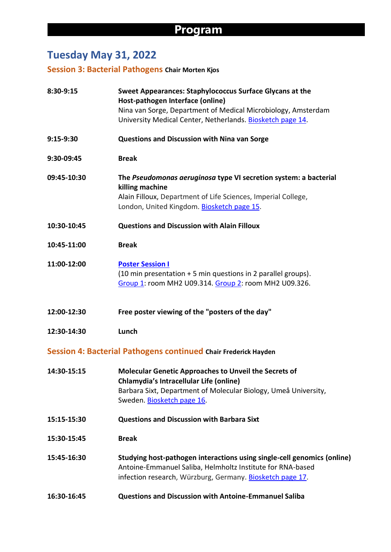# **Tuesday May 31, 2022**

**Session 3: Bacterial Pathogens Chair Morten Kjos**

| 8:30-9:15   | <b>Sweet Appearances: Staphylococcus Surface Glycans at the</b><br>Host-pathogen Interface (online)                                                                                                             |
|-------------|-----------------------------------------------------------------------------------------------------------------------------------------------------------------------------------------------------------------|
|             | Nina van Sorge, Department of Medical Microbiology, Amsterdam<br>University Medical Center, Netherlands. Biosketch page 14.                                                                                     |
| 9:15-9:30   | <b>Questions and Discussion with Nina van Sorge</b>                                                                                                                                                             |
| 9:30-09:45  | <b>Break</b>                                                                                                                                                                                                    |
| 09:45-10:30 | The Pseudomonas aeruginosa type VI secretion system: a bacterial<br>killing machine<br>Alain Filloux, Department of Life Sciences, Imperial College,<br>London, United Kingdom. Biosketch page 15.              |
| 10:30-10:45 | <b>Questions and Discussion with Alain Filloux</b>                                                                                                                                                              |
| 10:45-11:00 | <b>Break</b>                                                                                                                                                                                                    |
| 11:00-12:00 | <b>Poster Session I</b><br>(10 min presentation + 5 min questions in 2 parallel groups).<br>Group 1: room MH2 U09.314. Group 2: room MH2 U09.326.                                                               |
| 12:00-12:30 | Free poster viewing of the "posters of the day"                                                                                                                                                                 |
| 12:30-14:30 | Lunch                                                                                                                                                                                                           |
|             | Session 4: Bacterial Pathogens continued Chair Frederick Hayden                                                                                                                                                 |
| 14:30-15:15 | <b>Molecular Genetic Approaches to Unveil the Secrets of</b><br><b>Chlamydia's Intracellular Life (online)</b><br>Barbara Sixt, Department of Molecular Biology, Umeå University,<br>Sweden. Biosketch page 16. |
| 15:15-15:30 | <b>Questions and Discussion with Barbara Sixt</b>                                                                                                                                                               |
| 15:30-15:45 | <b>Break</b>                                                                                                                                                                                                    |
| 15:45-16:30 | Studying host-pathogen interactions using single-cell genomics (online)<br>Antoine-Emmanuel Saliba, Helmholtz Institute for RNA-based<br>infection research, Würzburg, Germany. Biosketch page 17.              |
| 16:30-16:45 | <b>Questions and Discussion with Antoine-Emmanuel Saliba</b>                                                                                                                                                    |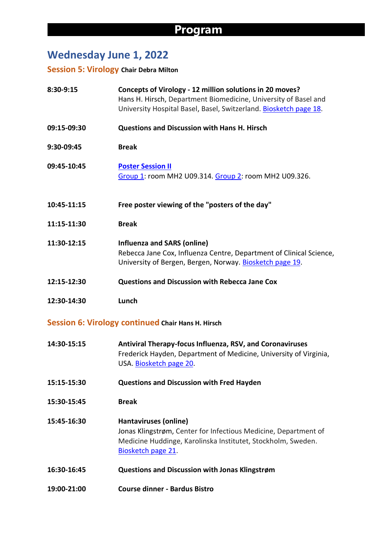## **Wednesday June 1, 2022**

#### **Session 5: Virology Chair Debra Milton**

| 8:30-9:15   | Concepts of Virology - 12 million solutions in 20 moves?<br>Hans H. Hirsch, Department Biomedicine, University of Basel and<br>University Hospital Basel, Basel, Switzerland. Biosketch page 18. |
|-------------|--------------------------------------------------------------------------------------------------------------------------------------------------------------------------------------------------|
| 09:15-09:30 | <b>Questions and Discussion with Hans H. Hirsch</b>                                                                                                                                              |
| 9:30-09:45  | <b>Break</b>                                                                                                                                                                                     |
| 09:45-10:45 | <b>Poster Session II</b><br>Group 1: room MH2 U09.314. Group 2: room MH2 U09.326.                                                                                                                |
| 10:45-11:15 | Free poster viewing of the "posters of the day"                                                                                                                                                  |
| 11:15-11:30 | <b>Break</b>                                                                                                                                                                                     |
| 11:30-12:15 | <b>Influenza and SARS (online)</b><br>Rebecca Jane Cox, Influenza Centre, Department of Clinical Science,<br>University of Bergen, Bergen, Norway. Biosketch page 19.                            |
| 12:15-12:30 | <b>Questions and Discussion with Rebecca Jane Cox</b>                                                                                                                                            |
| 12:30-14:30 | Lunch                                                                                                                                                                                            |

#### **Session 6: Virology continued Chair Hans H. Hirsch**

- **14:30-15:15 Antiviral Therapy-focus Influenza, RSV, and Coronaviruses** Frederick Hayden, Department of Medicine, University of Virginia, USA. Biosketch page 20.
- **15:15-15:30 Questions and Discussion with Fred Hayden**
- **15:30-15:45 Break**
- **15:45-16:30 Hantaviruses (online)** Jonas Klingstrøm, Center for Infectious Medicine, Department of Medicine Huddinge, Karolinska Institutet, Stockholm, Sweden. Biosketch page 21.
- **16:30-16:45 Questions and Discussion with Jonas Klingstrøm**
- **19:00-21:00 Course dinner - Bardus Bistro**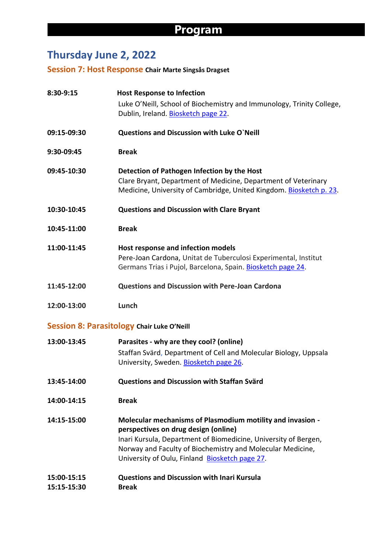# **Thursday June 2, 2022**

**Session 7: Host Response Chair Marte Singsås Dragset**

| 8:30-9:15                  | <b>Host Response to Infection</b><br>Luke O'Neill, School of Biochemistry and Immunology, Trinity College,<br>Dublin, Ireland. Biosketch page 22.                                                                                                                                     |
|----------------------------|---------------------------------------------------------------------------------------------------------------------------------------------------------------------------------------------------------------------------------------------------------------------------------------|
| 09:15-09:30                | <b>Questions and Discussion with Luke O'Neill</b>                                                                                                                                                                                                                                     |
| 9:30-09:45                 | <b>Break</b>                                                                                                                                                                                                                                                                          |
| 09:45-10:30                | Detection of Pathogen Infection by the Host<br>Clare Bryant, Department of Medicine, Department of Veterinary<br>Medicine, University of Cambridge, United Kingdom. Biosketch p. 23.                                                                                                  |
| 10:30-10:45                | <b>Questions and Discussion with Clare Bryant</b>                                                                                                                                                                                                                                     |
| 10:45-11:00                | <b>Break</b>                                                                                                                                                                                                                                                                          |
| 11:00-11:45                | Host response and infection models<br>Pere-Joan Cardona, Unitat de Tuberculosi Experimental, Institut<br>Germans Trias i Pujol, Barcelona, Spain. Biosketch page 24.                                                                                                                  |
| 11:45-12:00                | <b>Questions and Discussion with Pere-Joan Cardona</b>                                                                                                                                                                                                                                |
| 12:00-13:00                | Lunch                                                                                                                                                                                                                                                                                 |
|                            | <b>Session 8: Parasitology Chair Luke O'Neill</b>                                                                                                                                                                                                                                     |
| 13:00-13:45                | Parasites - why are they cool? (online)<br>Staffan Svärd, Department of Cell and Molecular Biology, Uppsala<br>University, Sweden. Biosketch page 26.                                                                                                                                 |
| 13:45-14:00                | Questions and Discussion with Staffan Svärd                                                                                                                                                                                                                                           |
| 14:00-14:15                | <b>Break</b>                                                                                                                                                                                                                                                                          |
| 14:15-15:00                | Molecular mechanisms of Plasmodium motility and invasion -<br>perspectives on drug design (online)<br>Inari Kursula, Department of Biomedicine, University of Bergen,<br>Norway and Faculty of Biochemistry and Molecular Medicine,<br>University of Oulu, Finland Biosketch page 27. |
| 15:00-15:15<br>15:15-15:30 | <b>Questions and Discussion with Inari Kursula</b><br><b>Break</b>                                                                                                                                                                                                                    |